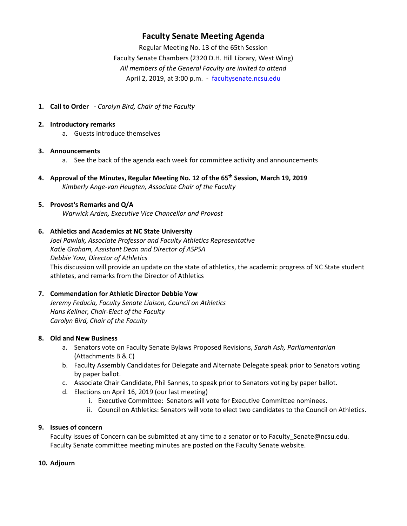# **Faculty Senate Meeting Agenda**

Regular Meeting No. 13 of the 65th Session Faculty Senate Chambers (2320 D.H. Hill Library, West Wing) *All members of the General Faculty are invited to attend* April 2, 2019, at 3:00 p.m. - [facultysenate.ncsu.edu](https://facultysenate.ncsu.edu/)

**1. Call to Order -** *Carolyn Bird, Chair of the Faculty*

#### **2. Introductory remarks**

a. Guests introduce themselves

#### **3. Announcements**

- a. See the back of the agenda each week for committee activity and announcements
- **4. Approval of the Minutes, Regular Meeting No. 12 of the 65th Session, March 19, 2019** *Kimberly Ange-van Heugten, Associate Chair of the Faculty*

#### **5. Provost's Remarks and Q/A**

*Warwick Arden, Executive Vice Chancellor and Provost*

#### **6. Athletics and Academics at NC State University**

*Joel Pawlak, Associate Professor and Faculty Athletics Representative Katie Graham, Assistant Dean and Director of ASPSA Debbie Yow, Director of Athletics* This discussion will provide an update on the state of athletics, the academic progress of NC State student athletes, and remarks from the Director of Athletics

# **7. Commendation for Athletic Director Debbie Yow**

*Jeremy Feducia, Faculty Senate Liaison, Council on Athletics Hans Kellner, Chair-Elect of the Faculty Carolyn Bird, Chair of the Faculty*

# **8. Old and New Business**

- a. Senators vote on Faculty Senate Bylaws Proposed Revisions, *Sarah Ash, Parliamentarian* (Attachments B & C)
- b. Faculty Assembly Candidates for Delegate and Alternate Delegate speak prior to Senators voting by paper ballot.
- c. Associate Chair Candidate, Phil Sannes, to speak prior to Senators voting by paper ballot.
- d. Elections on April 16, 2019 (our last meeting)
	- i. Executive Committee: Senators will vote for Executive Committee nominees.
	- ii. Council on Athletics: Senators will vote to elect two candidates to the Council on Athletics.

# **9. Issues of concern**

Faculty Issues of Concern can be submitted at any time to a senator or to Faculty\_Senate@ncsu.edu. Faculty Senate committee meeting minutes are posted on the Faculty Senate website.

#### **10. Adjourn**